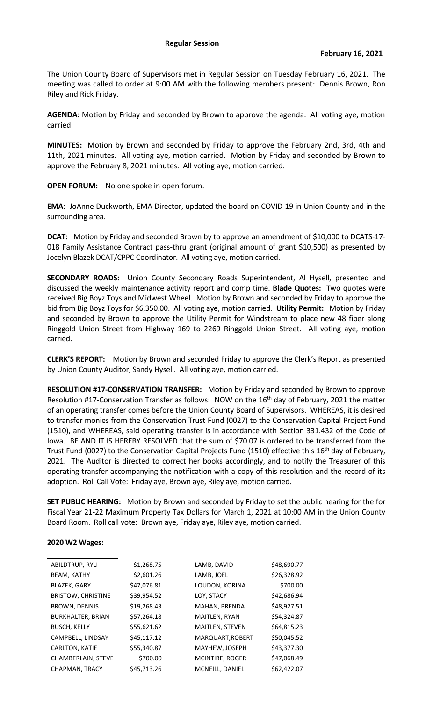The Union County Board of Supervisors met in Regular Session on Tuesday February 16, 2021. The meeting was called to order at 9:00 AM with the following members present: Dennis Brown, Ron Riley and Rick Friday.

**AGENDA:** Motion by Friday and seconded by Brown to approve the agenda. All voting aye, motion carried.

**MINUTES:** Motion by Brown and seconded by Friday to approve the February 2nd, 3rd, 4th and 11th, 2021 minutes. All voting aye, motion carried. Motion by Friday and seconded by Brown to approve the February 8, 2021 minutes. All voting aye, motion carried.

**OPEN FORUM:** No one spoke in open forum.

**EMA**: JoAnne Duckworth, EMA Director, updated the board on COVID-19 in Union County and in the surrounding area.

**DCAT:** Motion by Friday and seconded Brown by to approve an amendment of \$10,000 to DCATS-17- 018 Family Assistance Contract pass-thru grant (original amount of grant \$10,500) as presented by Jocelyn Blazek DCAT/CPPC Coordinator. All voting aye, motion carried.

**SECONDARY ROADS:** Union County Secondary Roads Superintendent, Al Hysell, presented and discussed the weekly maintenance activity report and comp time. **Blade Quotes:** Two quotes were received Big Boyz Toys and Midwest Wheel. Motion by Brown and seconded by Friday to approve the bid from Big Boyz Toys for \$6,350.00. All voting aye, motion carried. **Utility Permit:** Motion by Friday and seconded by Brown to approve the Utility Permit for Windstream to place new 48 fiber along Ringgold Union Street from Highway 169 to 2269 Ringgold Union Street. All voting aye, motion carried.

**CLERK'S REPORT:** Motion by Brown and seconded Friday to approve the Clerk's Report as presented by Union County Auditor, Sandy Hysell. All voting aye, motion carried.

**RESOLUTION #17-CONSERVATION TRANSFER:** Motion by Friday and seconded by Brown to approve Resolution #17-Conservation Transfer as follows: NOW on the 16<sup>th</sup> day of February, 2021 the matter of an operating transfer comes before the Union County Board of Supervisors. WHEREAS, it is desired to transfer monies from the Conservation Trust Fund (0027) to the Conservation Capital Project Fund (1510), and WHEREAS, said operating transfer is in accordance with Section 331.432 of the Code of Iowa. BE AND IT IS HEREBY RESOLVED that the sum of \$70.07 is ordered to be transferred from the Trust Fund (0027) to the Conservation Capital Projects Fund (1510) effective this 16<sup>th</sup> day of February, 2021. The Auditor is directed to correct her books accordingly, and to notify the Treasurer of this operating transfer accompanying the notification with a copy of this resolution and the record of its adoption. Roll Call Vote: Friday aye, Brown aye, Riley aye, motion carried.

**SET PUBLIC HEARING:** Motion by Brown and seconded by Friday to set the public hearing for the for Fiscal Year 21-22 Maximum Property Tax Dollars for March 1, 2021 at 10:00 AM in the Union County Board Room. Roll call vote: Brown aye, Friday aye, Riley aye, motion carried.

## **2020 W2 Wages:**

| ABILDTRUP, RYLI           | \$1,268.75  | LAMB, DAVID      | \$48,690.77 |
|---------------------------|-------------|------------------|-------------|
| <b>BEAM, KATHY</b>        | \$2,601.26  | LAMB, JOEL       | \$26,328.92 |
| <b>BLAZEK, GARY</b>       | \$47,076.81 | LOUDON, KORINA   | \$700.00    |
| <b>BRISTOW, CHRISTINE</b> | \$39,954.52 | LOY, STACY       | \$42,686.94 |
| BROWN, DENNIS             | \$19,268.43 | MAHAN, BRENDA    | \$48,927.51 |
| <b>BURKHALTER, BRIAN</b>  | \$57,264.18 | MAITLEN, RYAN    | \$54,324.87 |
| <b>BUSCH, KELLY</b>       | \$55,621.62 | MAITLEN, STEVEN  | \$64,815.23 |
| CAMPBELL, LINDSAY         | \$45,117.12 | MARQUART, ROBERT | \$50,045.52 |
| <b>CARLTON, KATIE</b>     | \$55,340.87 | MAYHEW, JOSEPH   | \$43,377.30 |
| CHAMBERLAIN, STEVE        | \$700.00    | MCINTIRE, ROGER  | \$47,068.49 |
| CHAPMAN, TRACY            | \$45,713.26 | MCNEILL, DANIEL  | \$62,422.07 |